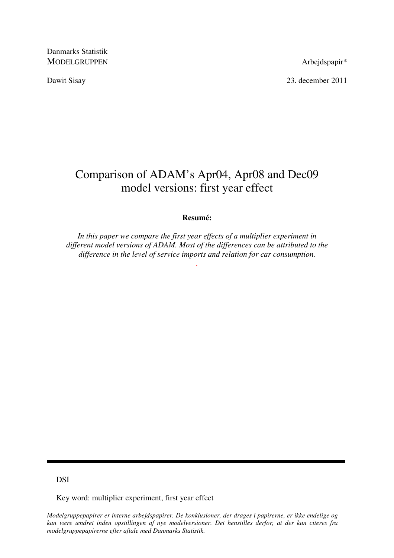Danmarks Statistik MODELGRUPPEN Arbejdspapir\*

Dawit Sisay 23. december 2011

# Comparison of ADAM's Apr04, Apr08 and Dec09 model versions: first year effect

### **Resumé:**

*In this paper we compare the first year effects of a multiplier experiment in different model versions of ADAM. Most of the differences can be attributed to the difference in the level of service imports and relation for car consumption.* 

*.* 

DSI

Key word: multiplier experiment, first year effect

*Modelgruppepapirer er interne arbejdspapirer. De konklusioner, der drages i papirerne, er ikke endelige og kan være ændret inden opstillingen af nye modelversioner. Det henstilles derfor, at der kun citeres fra modelgruppepapirerne efter aftale med Danmarks Statistik.*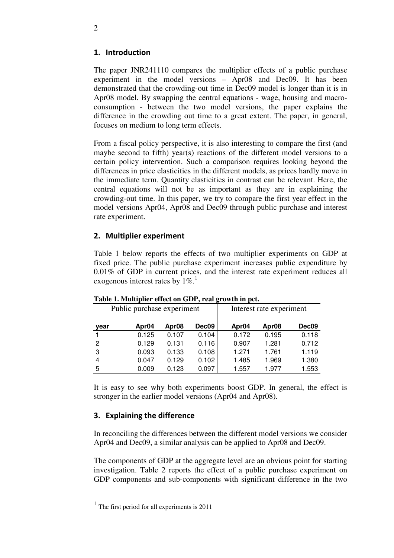# 1. Introduction

The paper JNR241110 compares the multiplier effects of a public purchase experiment in the model versions – Apr08 and Dec09. It has been demonstrated that the crowding-out time in Dec09 model is longer than it is in Apr08 model. By swapping the central equations - wage, housing and macroconsumption - between the two model versions, the paper explains the difference in the crowding out time to a great extent. The paper, in general, focuses on medium to long term effects.

From a fiscal policy perspective, it is also interesting to compare the first (and maybe second to fifth) year(s) reactions of the different model versions to a certain policy intervention. Such a comparison requires looking beyond the differences in price elasticities in the different models, as prices hardly move in the immediate term. Quantity elasticities in contrast can be relevant. Here, the central equations will not be as important as they are in explaining the crowding-out time. In this paper, we try to compare the first year effect in the model versions Apr04, Apr08 and Dec09 through public purchase and interest rate experiment.

## 2. Multiplier experiment

Table 1 below reports the effects of two multiplier experiments on GDP at fixed price. The public purchase experiment increases public expenditure by 0.01% of GDP in current prices, and the interest rate experiment reduces all exogenous interest rates by  $1\%$ .

| rabic 1. Munipher enect on ODT, i car growth in pet. |                   |                   |                          |                   |                   |       |  |
|------------------------------------------------------|-------------------|-------------------|--------------------------|-------------------|-------------------|-------|--|
| Public purchase experiment                           |                   |                   | Interest rate experiment |                   |                   |       |  |
| year                                                 | Apr <sub>04</sub> | Apr <sub>08</sub> | Dec09                    | Apr <sub>04</sub> | Apr <sub>08</sub> | Dec09 |  |
|                                                      | 0.125             | 0.107             | 0.104                    | 0.172             | 0.195             | 0.118 |  |
| 2                                                    | 0.129             | 0.131             | 0.116                    | 0.907             | 1.281             | 0.712 |  |
| 3                                                    | 0.093             | 0.133             | 0.108                    | 1.271             | 1.761             | 1.119 |  |
| 4                                                    | 0.047             | 0.129             | 0.102                    | 1.485             | 1.969             | 1.380 |  |
| 5                                                    | 0.009             | 0.123             | 0.097                    | 1.557             | 1.977             | 1.553 |  |

#### **Table 1. Multiplier effect on GDP, real growth in pct.**

It is easy to see why both experiments boost GDP. In general, the effect is stronger in the earlier model versions (Apr04 and Apr08).

# 3. Explaining the difference

In reconciling the differences between the different model versions we consider Apr04 and Dec09, a similar analysis can be applied to Apr08 and Dec09.

The components of GDP at the aggregate level are an obvious point for starting investigation. Table 2 reports the effect of a public purchase experiment on GDP components and sub-components with significant difference in the two

-

<sup>&</sup>lt;sup>1</sup> The first period for all experiments is 2011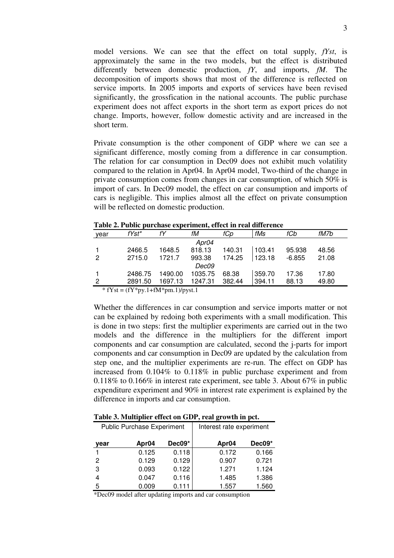model versions. We can see that the effect on total supply, *fYst*, is approximately the same in the two models, but the effect is distributed differently between domestic production, *fY*, and imports, *fM*. The decomposition of imports shows that most of the difference is reflected on service imports. In 2005 imports and exports of services have been revised significantly, the grossfication in the national accounts. The public purchase experiment does not affect exports in the short term as export prices do not change. Imports, however, follow domestic activity and are increased in the short term.

Private consumption is the other component of GDP where we can see a significant difference, mostly coming from a difference in car consumption. The relation for car consumption in Dec09 does not exhibit much volatility compared to the relation in Apr04. In Apr04 model, Two-third of the change in private consumption comes from changes in car consumption, of which 50% is import of cars. In Dec09 model, the effect on car consumption and imports of cars is negligible. This implies almost all the effect on private consumption will be reflected on domestic production.

| year           | fYst*   | fY      | fM      | fCp    | fMs    | fCb      | fM7b  |
|----------------|---------|---------|---------|--------|--------|----------|-------|
|                |         |         | Apr04   |        |        |          |       |
|                | 2466.5  | 1648.5  | 818.13  | 140.31 | 103.41 | 95.938   | 48.56 |
| $\overline{2}$ | 2715.0  | 1721.7  | 993.38  | 174.25 | 123.18 | $-6.855$ | 21.08 |
|                |         |         | Dec09   |        |        |          |       |
|                | 2486.75 | 1490.00 | 1035.75 | 68.38  | 359.70 | 17.36    | 17.80 |
| $\overline{2}$ | 2891.50 | 1697.13 | 1247.31 | 382.44 | 394.11 | 88.13    | 49.80 |
|                |         |         |         |        |        |          |       |

**Table 2. Public purchase experiment, effect in real difference** 

 $*$  fYst = (fY $*$ py.1+fM $*$ pm.1)/pyst.1

Whether the differences in car consumption and service imports matter or not can be explained by redoing both experiments with a small modification. This is done in two steps: first the multiplier experiments are carried out in the two models and the difference in the multipliers for the different import components and car consumption are calculated, second the j-parts for import components and car consumption in Dec09 are updated by the calculation from step one, and the multiplier experiments are re-run. The effect on GDP has increased from 0.104% to 0.118% in public purchase experiment and from 0.118% to 0.166% in interest rate experiment, see table 3. About 67% in public expenditure experiment and 90% in interest rate experiment is explained by the difference in imports and car consumption.

| Table 3. Multiplier effect on GDP, real growth in pct. |
|--------------------------------------------------------|
|--------------------------------------------------------|

| <b>Public Purchase Experiment</b> |                   |          | Interest rate experiment |        |  |
|-----------------------------------|-------------------|----------|--------------------------|--------|--|
| year                              | Apr <sub>04</sub> | $Dec09*$ | Apr <sub>04</sub>        | Dec09* |  |
|                                   | 0.125             | 0.118    | 0.172                    | 0.166  |  |
| 2                                 | 0.129             | 0.129    | 0.907                    | 0.721  |  |
| 3                                 | 0.093             | 0.122    | 1.271                    | 1.124  |  |
| 4                                 | 0.047             | 0.116    | 1.485                    | 1.386  |  |
| 5                                 | 0.009             | 0.111    | 1.557                    | 1.560  |  |

\*Dec09 model after updating imports and car consumption